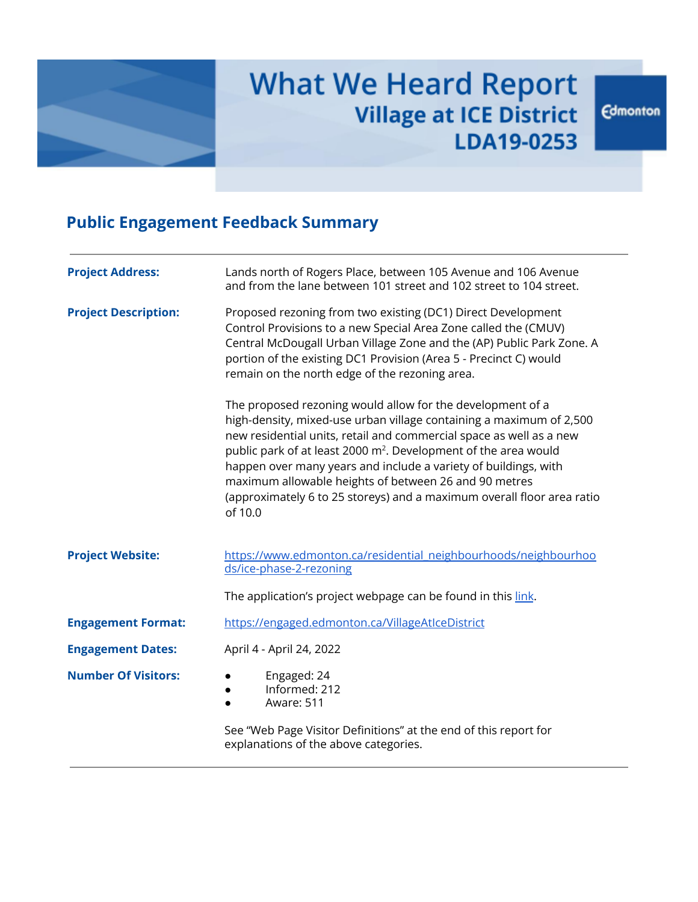

# **What We Heard Report Village at ICE District** LDA19-0253

# **Public Engagement Feedback Summary**

| <b>Project Address:</b>     | Lands north of Rogers Place, between 105 Avenue and 106 Avenue<br>and from the lane between 101 street and 102 street to 104 street.                                                                                                                                                                                                                                                                                                                                                                     |
|-----------------------------|----------------------------------------------------------------------------------------------------------------------------------------------------------------------------------------------------------------------------------------------------------------------------------------------------------------------------------------------------------------------------------------------------------------------------------------------------------------------------------------------------------|
| <b>Project Description:</b> | Proposed rezoning from two existing (DC1) Direct Development<br>Control Provisions to a new Special Area Zone called the (CMUV)<br>Central McDougall Urban Village Zone and the (AP) Public Park Zone. A<br>portion of the existing DC1 Provision (Area 5 - Precinct C) would<br>remain on the north edge of the rezoning area.                                                                                                                                                                          |
|                             | The proposed rezoning would allow for the development of a<br>high-density, mixed-use urban village containing a maximum of 2,500<br>new residential units, retail and commercial space as well as a new<br>public park of at least 2000 m <sup>2</sup> . Development of the area would<br>happen over many years and include a variety of buildings, with<br>maximum allowable heights of between 26 and 90 metres<br>(approximately 6 to 25 storeys) and a maximum overall floor area ratio<br>of 10.0 |
| <b>Project Website:</b>     | https://www.edmonton.ca/residential neighbourhoods/neighbourhoo<br>ds/ice-phase-2-rezoning                                                                                                                                                                                                                                                                                                                                                                                                               |
|                             | The application's project webpage can be found in this link.                                                                                                                                                                                                                                                                                                                                                                                                                                             |
| <b>Engagement Format:</b>   | https://engaged.edmonton.ca/VillageAtIceDistrict                                                                                                                                                                                                                                                                                                                                                                                                                                                         |
| <b>Engagement Dates:</b>    | April 4 - April 24, 2022                                                                                                                                                                                                                                                                                                                                                                                                                                                                                 |
| <b>Number Of Visitors:</b>  | Engaged: 24<br>Informed: 212<br>Aware: 511<br>$\bullet$                                                                                                                                                                                                                                                                                                                                                                                                                                                  |
|                             | See "Web Page Visitor Definitions" at the end of this report for<br>explanations of the above categories.                                                                                                                                                                                                                                                                                                                                                                                                |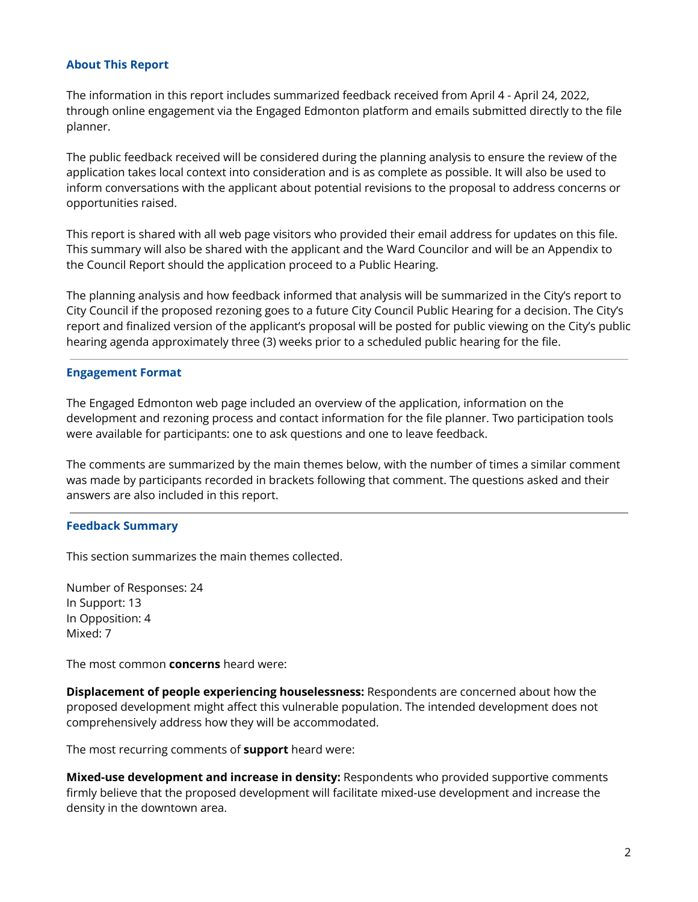# **About This Report**

The information in this report includes summarized feedback received from April 4 - April 24, 2022, through online engagement via the Engaged Edmonton platform and emails submitted directly to the file planner.

The public feedback received will be considered during the planning analysis to ensure the review of the application takes local context into consideration and is as complete as possible. It will also be used to inform conversations with the applicant about potential revisions to the proposal to address concerns or opportunities raised.

This report is shared with all web page visitors who provided their email address for updates on this file. This summary will also be shared with the applicant and the Ward Councilor and will be an Appendix to the Council Report should the application proceed to a Public Hearing.

The planning analysis and how feedback informed that analysis will be summarized in the City's report to City Council if the proposed rezoning goes to a future City Council Public Hearing for a decision. The City's report and finalized version of the applicant's proposal will be posted for public viewing on the City's public hearing agenda approximately three (3) weeks prior to a scheduled public hearing for the file.

# **Engagement Format**

The Engaged Edmonton web page included an overview of the application, information on the development and rezoning process and contact information for the file planner. Two participation tools were available for participants: one to ask questions and one to leave feedback.

The comments are summarized by the main themes below, with the number of times a similar comment was made by participants recorded in brackets following that comment. The questions asked and their answers are also included in this report.

# **Feedback Summary**

This section summarizes the main themes collected.

Number of Responses: 24 In Support: 13 In Opposition: 4 Mixed: 7

The most common **concerns** heard were:

**Displacement of people experiencing houselessness:** Respondents are concerned about how the proposed development might affect this vulnerable population. The intended development does not comprehensively address how they will be accommodated.

The most recurring comments of **support** heard were:

**Mixed-use development and increase in density:** Respondents who provided supportive comments firmly believe that the proposed development will facilitate mixed-use development and increase the density in the downtown area.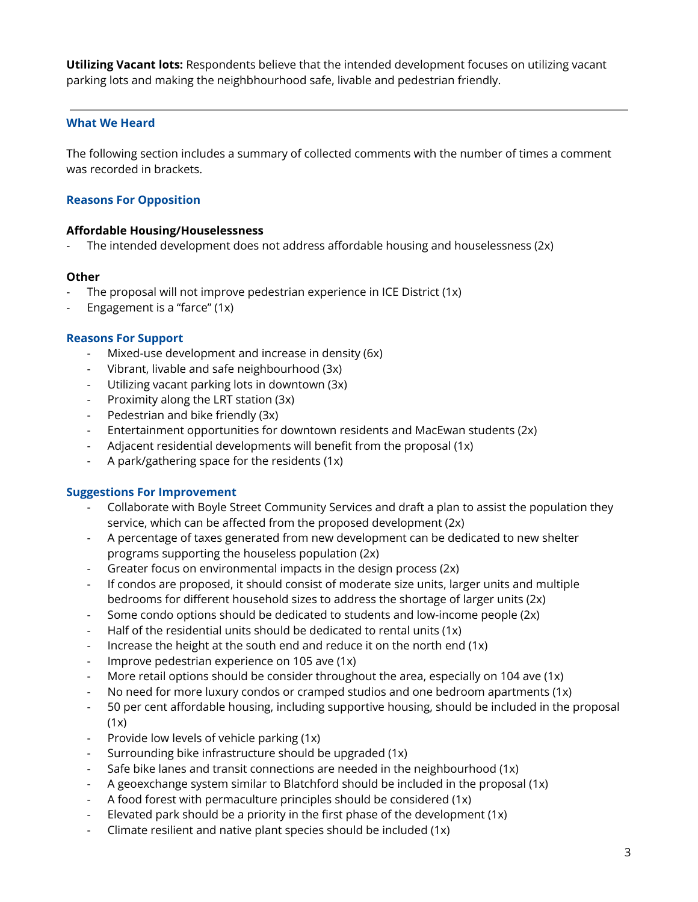**Utilizing Vacant lots:** Respondents believe that the intended development focuses on utilizing vacant parking lots and making the neighbhourhood safe, livable and pedestrian friendly.

# **What We Heard**

The following section includes a summary of collected comments with the number of times a comment was recorded in brackets.

# **Reasons For Opposition**

#### **Affordable Housing/Houselessness**

The intended development does not address affordable housing and houselessness (2x)

## **Other**

- The proposal will not improve pedestrian experience in ICE District (1x)
- Engagement is a "farce" (1x)

#### **Reasons For Support**

- Mixed-use development and increase in density (6x)
- Vibrant, livable and safe neighbourhood (3x)
- Utilizing vacant parking lots in downtown (3x)
- Proximity along the LRT station (3x)
- Pedestrian and bike friendly (3x)
- Entertainment opportunities for downtown residents and MacEwan students (2x)
- Adjacent residential developments will benefit from the proposal (1x)
- A park/gathering space for the residents (1x)

#### **Suggestions For Improvement**

- Collaborate with Boyle Street Community Services and draft a plan to assist the population they service, which can be affected from the proposed development (2x)
- A percentage of taxes generated from new development can be dedicated to new shelter programs supporting the houseless population (2x)
- Greater focus on environmental impacts in the design process (2x)
- If condos are proposed, it should consist of moderate size units, larger units and multiple bedrooms for different household sizes to address the shortage of larger units (2x)
- Some condo options should be dedicated to students and low-income people (2x)
- Half of the residential units should be dedicated to rental units (1x)
- Increase the height at the south end and reduce it on the north end (1x)
- Improve pedestrian experience on 105 ave  $(1x)$
- More retail options should be consider throughout the area, especially on 104 ave (1x)
- No need for more luxury condos or cramped studios and one bedroom apartments (1x)
- 50 per cent affordable housing, including supportive housing, should be included in the proposal  $(1x)$
- Provide low levels of vehicle parking (1x)
- Surrounding bike infrastructure should be upgraded (1x)
- Safe bike lanes and transit connections are needed in the neighbourhood (1x)
- A geoexchange system similar to Blatchford should be included in the proposal (1x)
- A food forest with permaculture principles should be considered (1x)
- Elevated park should be a priority in the first phase of the development  $(1x)$
- Climate resilient and native plant species should be included (1x)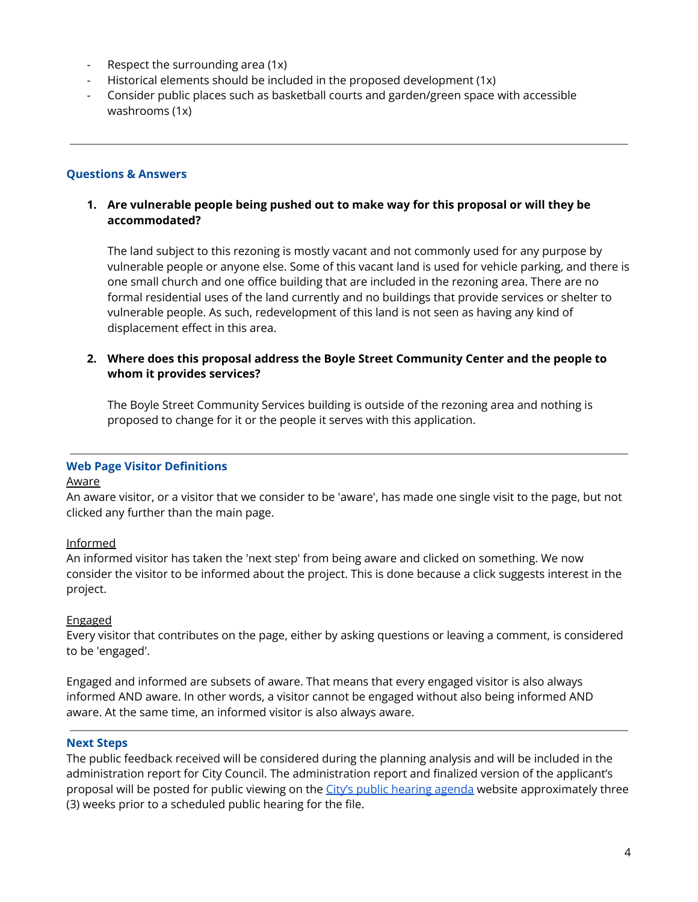- Respect the surrounding area (1x)
- Historical elements should be included in the proposed development (1x)
- Consider public places such as basketball courts and garden/green space with accessible washrooms (1x)

## **Questions & Answers**

# **1. Are vulnerable people being pushed out to make way for this proposal or will they be accommodated?**

The land subject to this rezoning is mostly vacant and not commonly used for any purpose by vulnerable people or anyone else. Some of this vacant land is used for vehicle parking, and there is one small church and one office building that are included in the rezoning area. There are no formal residential uses of the land currently and no buildings that provide services or shelter to vulnerable people. As such, redevelopment of this land is not seen as having any kind of displacement effect in this area.

# **2. Where does this proposal address the Boyle Street Community Center and the people to whom it provides services?**

The Boyle Street Community Services building is outside of the rezoning area and nothing is proposed to change for it or the people it serves with this application.

# **Web Page Visitor Definitions**

#### Aware

An aware visitor, or a visitor that we consider to be 'aware', has made one single visit to the page, but not clicked any further than the main page.

# Informed

An informed visitor has taken the 'next step' from being aware and clicked on something. We now consider the visitor to be informed about the project. This is done because a click suggests interest in the project.

# Engaged

Every visitor that contributes on the page, either by asking questions or leaving a comment, is considered to be 'engaged'.

Engaged and informed are subsets of aware. That means that every engaged visitor is also always informed AND aware. In other words, a visitor cannot be engaged without also being informed AND aware. At the same time, an informed visitor is also always aware.

#### **Next Steps**

The public feedback received will be considered during the planning analysis and will be included in the administration report for City Council. The administration report and finalized version of the applicant's proposal will be posted for public viewing on the City's public [hearing](https://www.edmonton.ca/city_government/council-committee-meetings) agenda website approximately three (3) weeks prior to a scheduled public hearing for the file.